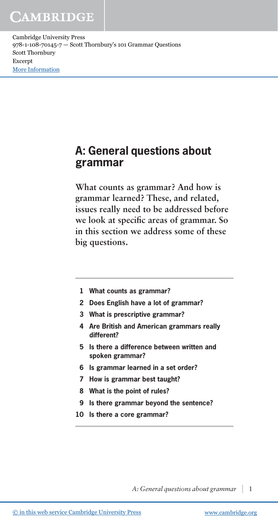## **CAMBRIDGE**

Cambridge University Press 978-1-108-70145-7 — Scott Thornbury's 101 Grammar Questions Scott Thornbury Excerpt [More Information](www.cambridge.org/9781108701457)

#### **A: General questions about grammar**

**What counts as grammar? And how is grammar learned? These, and related, issues really need to be addressed before we look at specific areas of grammar. So in this section we address some of these big questions.**

- **1 What counts as grammar?**
- **2 Does English have a lot of grammar?**
- **3 What is prescriptive grammar?**
- **4 Are British and American grammars really different?**
- **5 Is there a difference between written and spoken grammar?**
- **6 Is grammar learned in a set order?**
- **7 How is grammar best taught?**
- **8 What is the point of rules?**
- **9 Is there grammar beyond the sentence?**
- **10 Is there a core grammar?**

*A: General questions about grammar* 1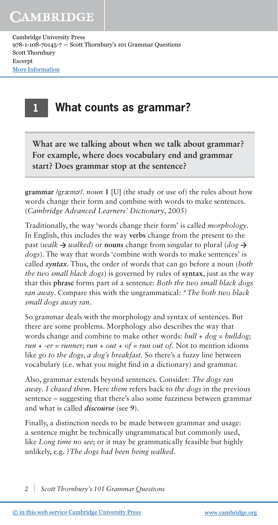### **1 What counts as grammar?**

**What are we talking about when we talk about grammar? For example, where does vocabulary end and grammar start? Does grammar stop at the sentence?**

**grammar** /græm<sup>-*y*</sup>, *noun* 1 [U] (the study or use of) the rules about how words change their form and combine with words to make sentences. (*Cambridge Advanced Learners' Dictionary*, 2005)

Traditionally, the way 'words change their form' is called *morphology*. In English, this includes the way **verbs** change from the present to the past (*walk*  $\rightarrow$  *walked*) or **nouns** change from singular to plural (*dog*  $\rightarrow$ *dogs*). The way that words 'combine with words to make sentences' is called *syntax*. Thus, the order of words that can go before a noun (*both the two small black dogs*) is governed by rules of **syntax**, just as the way that this **phrase** forms part of a sentence: *Both the two small black dogs ran away*. Compare this with the ungrammatical: \**The both two black small dogs away ran*.

So grammar deals with the morphology and syntax of sentences. But there are some problems. Morphology also describes the way that words change and combine to make other words: *bull + dog* = *bulldog; run* + *-er* = *runner; run* + *out* + *of* = *run out of*. Not to mention idioms like *go to the dogs, a dog's breakfast*. So there's a fuzzy line between vocabulary (i.e. what you might find in a dictionary) and grammar.

Also, grammar extends beyond sentences. Consider: *The dogs ran away*. *I chased them*. Here *them* refers back to *the dogs* in the previous sentence – suggesting that there's also some fuzziness between grammar and what is called *discourse* (see **9**).

Finally, a distinction needs to be made between grammar and usage: a sentence might be technically ungrammatical but commonly used, like *Long time no see*; or it may be grammatically feasible but highly unlikely, e.g. ?*The dogs had been being walked*.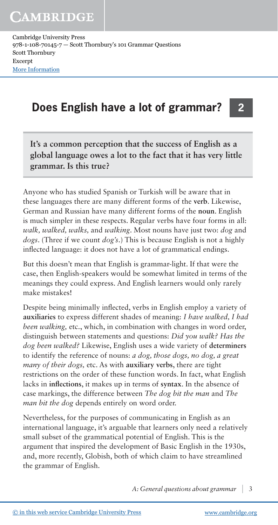### **Does English have a lot of grammar? 2**

**It's a common perception that the success of English as a global language owes a lot to the fact that it has very little grammar. Is this true?**

Anyone who has studied Spanish or Turkish will be aware that in these languages there are many different forms of the **verb**. Likewise, German and Russian have many different forms of the **noun**. English is much simpler in these respects. Regular verbs have four forms in all: *walk, walked, walks,* and *walking*. Most nouns have just two: *dog* and *dogs*. (Three if we count *dog's*.) This is because English is not a highly inflected language: it does not have a lot of grammatical endings.

But this doesn't mean that English is grammar-light. If that were the case, then English-speakers would be somewhat limited in terms of the meanings they could express. And English learners would only rarely make mistakes!

Despite being minimally inflected, verbs in English employ a variety of **auxiliaries** to express different shades of meaning: *I have walked, I had been walking,* etc., which, in combination with changes in word order, distinguish between statements and questions: *Did you walk? Has the dog been walked?* Likewise, English uses a wide variety of **determiners**  to identify the reference of nouns: *a dog, those dogs, no dog, a great many of their dogs,* etc. As with **auxiliary verbs**, there are tight restrictions on the order of these function words. In fact, what English lacks in **inflections**, it makes up in terms of **syntax**. In the absence of case markings, the difference between *The dog bit the man* and *The man bit the dog* depends entirely on word order.

Nevertheless, for the purposes of communicating in English as an international language, it's arguable that learners only need a relatively small subset of the grammatical potential of English. This is the argument that inspired the development of Basic English in the 1930s, and, more recently, Globish, both of which claim to have streamlined the grammar of English.

*A: General questions about grammar* 3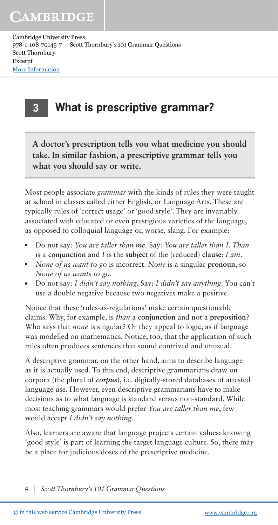### **3 What is prescriptive grammar?**

**A doctor's prescription tells you what medicine you should take. In similar fashion, a prescriptive grammar tells you what you should say or write.** 

Most people associate *grammar* with the kinds of rules they were taught at school in classes called either English, or Language Arts. These are typically rules of 'correct usage' or 'good style'. They are invariably associated with educated or even prestigious varieties of the language, as opposed to colloquial language or, worse, slang. For example:

- Do not say: *You are taller than me*. Say: *You are taller than I*. *Than* is a **conjunction** and *I* is the **subject** of the (reduced) **clause**: *I am*.
- *None of us want to go* is incorrect. *None* is a singular **pronoun**, so *None of us wants to go*.
- Do not say: *I didn't say nothing*. Say: *I didn't say anything*. You can't use a double negative because two negatives make a positive.

Notice that these 'rules-as-regulations' make certain questionable claims. Why, for example, is *than* a **conjunction** and not a **preposition**? Who says that *none* is singular? Or they appeal to logic, as if language was modelled on mathematics. Notice, too, that the application of such rules often produces sentences that sound contrived and unusual.

A descriptive grammar, on the other hand, aims to describe language as it is actually used. To this end, descriptive grammarians draw on corpora (the plural of *corpus*), i.e. digitally-stored databases of attested language use. However, even descriptive grammarians have to make decisions as to what language is standard versus non-standard. While most teaching grammars would prefer *You are taller than me*, few would accept *I didn't say nothing*.

Also, learners are aware that language projects certain values: knowing 'good style' is part of learning the target language culture. So, there may be a place for judicious doses of the prescriptive medicine.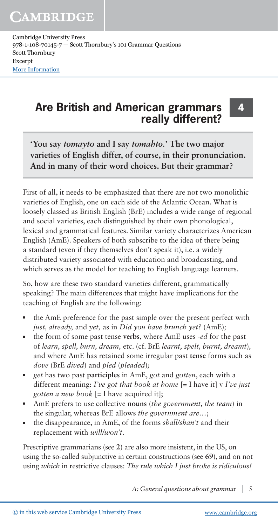#### **Are British and American grammars really different?**

**4**

**'You say** *tomayto* **and I say** *tomahto.***' The two major varieties of English differ, of course, in their pronunciation. And in many of their word choices. But their grammar?** 

First of all, it needs to be emphasized that there are not two monolithic varieties of English, one on each side of the Atlantic Ocean. What is loosely classed as British English (BrE) includes a wide range of regional and social varieties, each distinguished by their own phonological, lexical and grammatical features. Similar variety characterizes American English (AmE). Speakers of both subscribe to the idea of there being a standard (even if they themselves don't speak it), i.e. a widely distributed variety associated with education and broadcasting, and which serves as the model for teaching to English language learners.

So, how are these two standard varieties different, grammatically speaking? The main differences that might have implications for the teaching of English are the following:

- the AmE preference for the past simple over the present perfect with *just, already,* and *yet,* as in *Did you have brunch yet?* (AmE)*;*
- the form of some past tense **verbs**, where AmE uses *-ed* for the past  $\blacksquare$ of *learn, spell, burn, dream,* etc. (cf. BrE *learnt, spelt, burnt, dreamt*)*,* and where AmE has retained some irregular past **tense** forms such as *dove* (BrE *dived*) and *pled* (*pleaded*)*;*
- *get* has two past **participles** in AmE, *got* and *gotten*, each with a  $\blacksquare$ different meaning: *I've got that book at home* [= I have it] v *I've just gotten a new book* [= I have acquired it];
- AmE prefers to use collective **nouns** (*the government, the team*) in  $\blacksquare$ the singular, whereas BrE allows *the government are…*;
- the disappearance, in AmE, of the forms *shall/shan't* and their replacement with *will/won't*.

Prescriptive grammarians (see **2**) are also more insistent, in the US, on using the so-called subjunctive in certain constructions (see **69**), and on not using *which* in restrictive clauses: *The rule which I just broke is ridiculous!*

*A: General questions about grammar* 5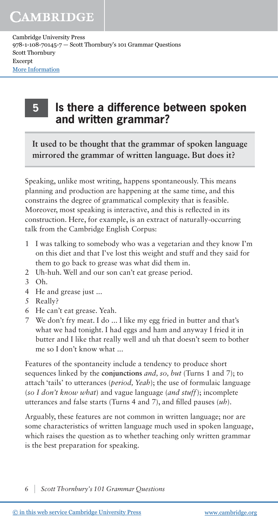## **5**

#### **Is there a difference between spoken and written grammar?**

**It used to be thought that the grammar of spoken language mirrored the grammar of written language. But does it?**

Speaking, unlike most writing, happens spontaneously. This means planning and production are happening at the same time, and this constrains the degree of grammatical complexity that is feasible. Moreover, most speaking is interactive, and this is reflected in its construction. Here, for example, is an extract of naturally-occurring talk from the Cambridge English Corpus:

- 1 I was talking to somebody who was a vegetarian and they know I'm on this diet and that I've lost this weight and stuff and they said for them to go back to grease was what did them in.
- 2 Uh-huh. Well and our son can't eat grease period.
- 3 Oh.
- 4 He and grease just ...
- 5 Really?
- 6 He can't eat grease. Yeah.
- 7 We don't fry meat. I do ... I like my egg fried in butter and that's what we had tonight. I had eggs and ham and anyway I fried it in butter and I like that really well and uh that doesn't seem to bother me so I don't know what ...

Features of the spontaneity include a tendency to produce short sequences linked by the **conjunctions** *and, so, but* (Turns 1 and 7); to attach 'tails' to utterances (*period, Yeah*); the use of formulaic language (*so I don't know what*) and vague language (*and stuff* ); incomplete utterances and false starts (Turns 4 and 7), and filled pauses (*uh*).

Arguably, these features are not common in written language; nor are some characteristics of written language much used in spoken language, which raises the question as to whether teaching only written grammar is the best preparation for speaking.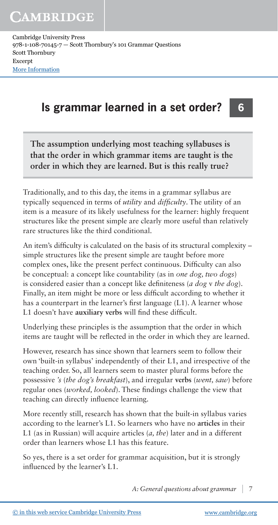#### **Is grammar learned in a set order? 6**

**The assumption underlying most teaching syllabuses is that the order in which grammar items are taught is the order in which they are learned. But is this really true?**

Traditionally, and to this day, the items in a grammar syllabus are typically sequenced in terms of *utility* and *difficulty*. The utility of an item is a measure of its likely usefulness for the learner: highly frequent structures like the present simple are clearly more useful than relatively rare structures like the third conditional.

An item's difficulty is calculated on the basis of its structural complexity – simple structures like the present simple are taught before more complex ones, like the present perfect continuous. Difficulty can also be conceptual: a concept like countability (as in *one dog, two dogs*) is considered easier than a concept like definiteness (*a dog* v *the dog*). Finally, an item might be more or less difficult according to whether it has a counterpart in the learner's first language (L1). A learner whose L1 doesn't have **auxiliary verbs** will find these difficult.

Underlying these principles is the assumption that the order in which items are taught will be reflected in the order in which they are learned.

However, research has since shown that learners seem to follow their own 'built-in syllabus' independently of their L1, and irrespective of the teaching order. So, all learners seem to master plural forms before the possessive *'s* (*the dog's breakfast*), and irregular **verbs** (*went, saw*) before regular ones (*worked, looked*). These findings challenge the view that teaching can directly influence learning.

More recently still, research has shown that the built-in syllabus varies according to the learner's L1. So learners who have no **articles** in their L1 (as in Russian) will acquire articles (*a, the*) later and in a different order than learners whose L1 has this feature.

So yes, there is a set order for grammar acquisition, but it is strongly influenced by the learner's L1.

A: General questions about grammar | 7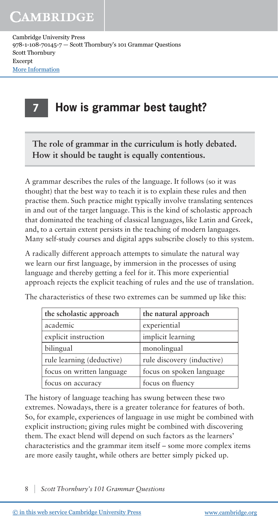## **7 How is grammar best taught?**

**The role of grammar in the curriculum is hotly debated. How it should be taught is equally contentious.** 

A grammar describes the rules of the language. It follows (so it was thought) that the best way to teach it is to explain these rules and then practise them. Such practice might typically involve translating sentences in and out of the target language. This is the kind of scholastic approach that dominated the teaching of classical languages, like Latin and Greek, and, to a certain extent persists in the teaching of modern languages. Many self-study courses and digital apps subscribe closely to this system.

A radically different approach attempts to simulate the natural way we learn our first language, by immersion in the processes of using language and thereby getting a feel for it. This more experiential approach rejects the explicit teaching of rules and the use of translation.

| the scholastic approach   | the natural approach       |
|---------------------------|----------------------------|
| academic                  | experiential               |
| explicit instruction      | implicit learning          |
| bilingual                 | monolingual                |
| rule learning (deductive) | rule discovery (inductive) |
| focus on written language | focus on spoken language   |
| focus on accuracy         | focus on fluency           |

The characteristics of these two extremes can be summed up like this:

The history of language teaching has swung between these two extremes. Nowadays, there is a greater tolerance for features of both. So, for example, experiences of language in use might be combined with explicit instruction; giving rules might be combined with discovering them. The exact blend will depend on such factors as the learners' characteristics and the grammar item itself – some more complex items are more easily taught, while others are better simply picked up.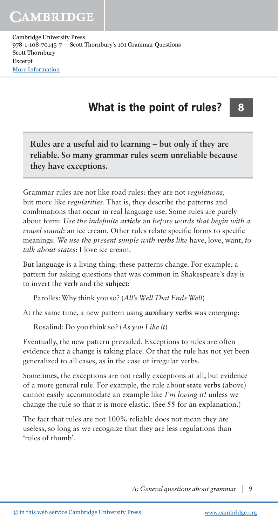#### **What is the point of rules? 8**

**Rules are a useful aid to learning – but only if they are reliable. So many grammar rules seem unreliable because they have exceptions.**

Grammar rules are not like road rules: they are not *regulations,*  but more like *regularities*. That is, they describe the patterns and combinations that occur in real language use. Some rules are purely about form: *Use the indefinite article* an *before words that begin with a vowel sound*: an ice cream. Other rules relate specific forms to specific meanings: *We use the present simple with verbs like* have, love, want, *to talk about states*: I love ice cream.

But language is a living thing: these patterns change. For example, a pattern for asking questions that was common in Shakespeare's day is to invert the **verb** and the **subject**:

Parolles: Why think you so? (*All's Well That Ends Well*)

At the same time, a new pattern using **auxiliary verbs** was emerging:

Rosalind: Do you think so? (*As you Like it*)

Eventually, the new pattern prevailed. Exceptions to rules are often evidence that a change is taking place. Or that the rule has not yet been generalized to all cases, as in the case of irregular verbs.

Sometimes, the exceptions are not really exceptions at all, but evidence of a more general rule. For example, the rule about **state verbs** (above) cannot easily accommodate an example like *I'm loving it!* unless we change the rule so that it is more elastic. (See **55** for an explanation.)

The fact that rules are not 100% reliable does not mean they are useless, so long as we recognize that they are less regulations than 'rules of thumb'.

*A: General questions about grammar* 9